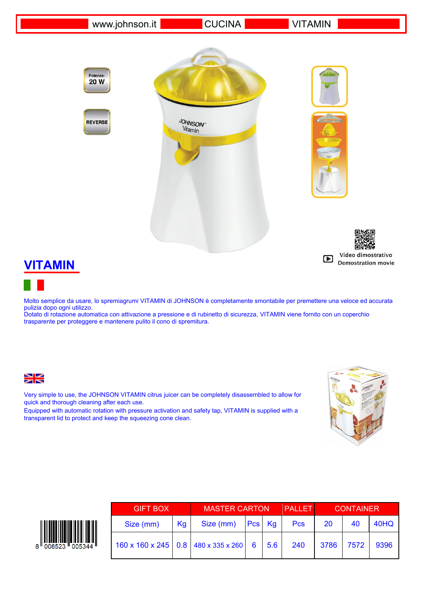www.johnson.it CUCINA VITAMIN

Potenza: 20 W

**REVERSE** 







## **VITAMIN**

Molto semplice da usare, lo spremiagrumi VITAMIN di JOHNSON è completamente smontabile per premettere una veloce ed accurata pulizia dopo ogni utilizzo.

Dotato di rotazione automatica con attivazione a pressione e di rubinetto di sicurezza, VITAMIN viene fornito con un coperchio trasparente per proteggere e mantenere pulito il cono di spremitura.



Very simple to use, the JOHNSON VITAMIN citrus juicer can be completely disassembled to allow for quick and thorough cleaning after each use.

Equipped with automatic rotation with pressure activation and safety tap, VITAMIN is supplied with a transparent lid to protect and keep the squeezing cone clean.





| <b>GIFT BOX</b>                                   |    | <b>MASTER CARTON</b> |  |  | <b>PALLET</b> | <b>CONTAINER</b> |      |      |
|---------------------------------------------------|----|----------------------|--|--|---------------|------------------|------|------|
| Size (mm)                                         | Kg | Size (mm) Pcs Kg     |  |  | <b>Pcs</b>    | 20               | 40   | 40HQ |
| 160 x 160 x 245   0.8   480 x 335 x 260   6   5.6 |    |                      |  |  | 240           | 3786             | 7572 | 9396 |